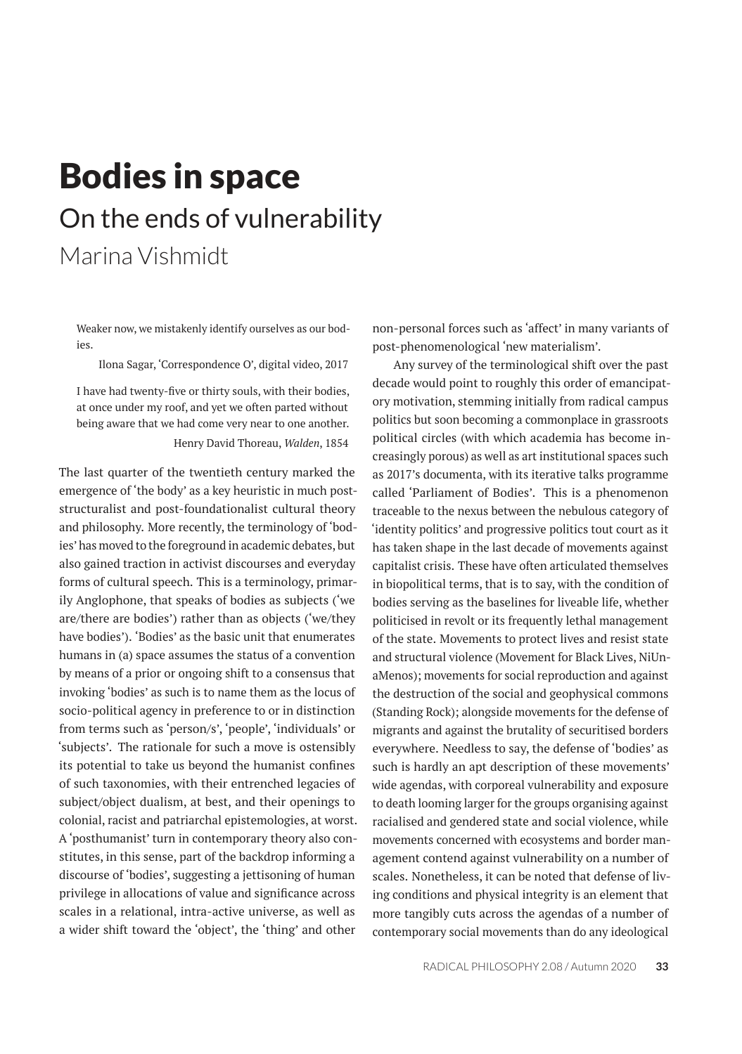# Bodies in space On the ends of vulnerability Marina Vishmidt

Weaker now, we mistakenly identify ourselves as our bodies.

Ilona Sagar, 'Correspondence O', digital video, 2017

I have had twenty-five or thirty souls, with their bodies, at once under my roof, and yet we often parted without being aware that we had come very near to one another. Henry David Thoreau, *Walden*, 1854

The last quarter of the twentieth century marked the emergence of 'the body' as a key heuristic in much poststructuralist and post-foundationalist cultural theory and philosophy. More recently, the terminology of 'bodies' has moved to the foreground in academic debates, but also gained traction in activist discourses and everyday forms of cultural speech. This is a terminology, primarily Anglophone, that speaks of bodies as subjects ('we are/there are bodies') rather than as objects ('we/they have bodies'). 'Bodies' as the basic unit that enumerates humans in (a) space assumes the status of a convention by means of a prior or ongoing shift to a consensus that invoking 'bodies' as such is to name them as the locus of socio-political agency in preference to or in distinction from terms such as 'person/s', 'people', 'individuals' or 'subjects'. The rationale for such a move is ostensibly its potential to take us beyond the humanist confines of such taxonomies, with their entrenched legacies of subject/object dualism, at best, and their openings to colonial, racist and patriarchal epistemologies, at worst. A 'posthumanist' turn in contemporary theory also constitutes, in this sense, part of the backdrop informing a discourse of 'bodies', suggesting a jettisoning of human privilege in allocations of value and significance across scales in a relational, intra-active universe, as well as a wider shift toward the 'object', the 'thing' and other

non-personal forces such as 'affect' in many variants of post-phenomenological 'new materialism'.

Any survey of the terminological shift over the past decade would point to roughly this order of emancipatory motivation, stemming initially from radical campus politics but soon becoming a commonplace in grassroots political circles (with which academia has become increasingly porous) as well as art institutional spaces such as 2017's documenta, with its iterative talks programme called 'Parliament of Bodies'. This is a phenomenon traceable to the nexus between the nebulous category of 'identity politics' and progressive politics tout court as it has taken shape in the last decade of movements against capitalist crisis. These have often articulated themselves in biopolitical terms, that is to say, with the condition of bodies serving as the baselines for liveable life, whether politicised in revolt or its frequently lethal management of the state. Movements to protect lives and resist state and structural violence (Movement for Black Lives, NiUnaMenos); movements for social reproduction and against the destruction of the social and geophysical commons (Standing Rock); alongside movements for the defense of migrants and against the brutality of securitised borders everywhere. Needless to say, the defense of 'bodies' as such is hardly an apt description of these movements' wide agendas, with corporeal vulnerability and exposure to death looming larger for the groups organising against racialised and gendered state and social violence, while movements concerned with ecosystems and border management contend against vulnerability on a number of scales. Nonetheless, it can be noted that defense of living conditions and physical integrity is an element that more tangibly cuts across the agendas of a number of contemporary social movements than do any ideological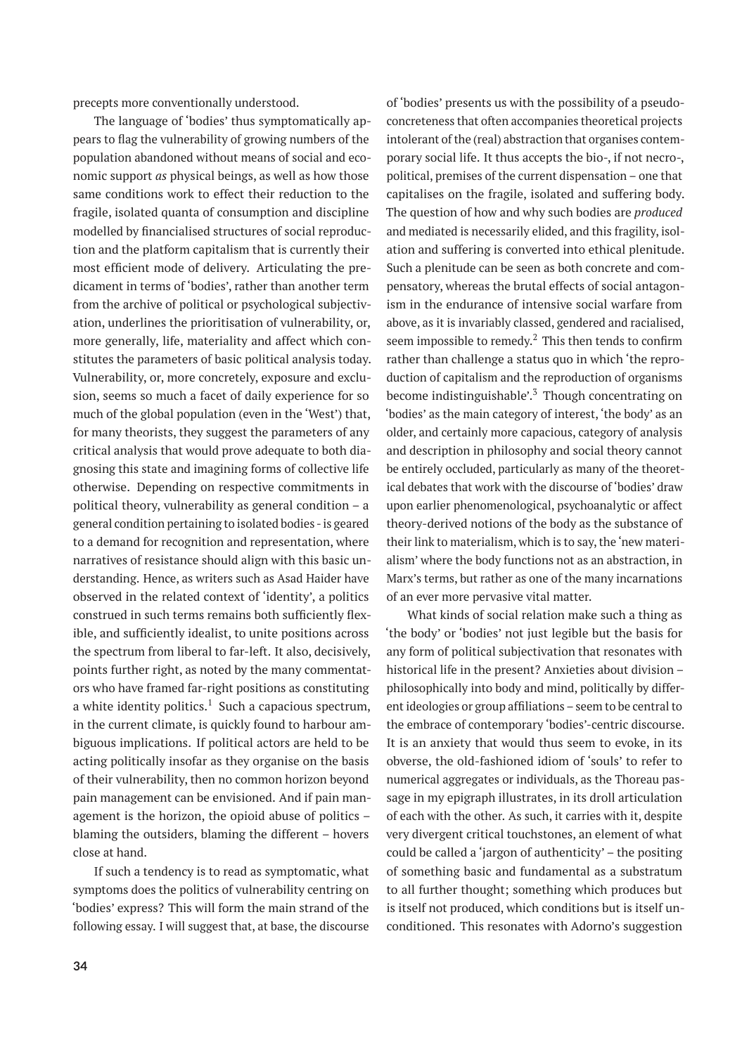precepts more conventionally understood.

The language of 'bodies' thus symptomatically appears to flag the vulnerability of growing numbers of the population abandoned without means of social and economic support *as* physical beings, as well as how those same conditions work to effect their reduction to the fragile, isolated quanta of consumption and discipline modelled by financialised structures of social reproduction and the platform capitalism that is currently their most efficient mode of delivery. Articulating the predicament in terms of 'bodies', rather than another term from the archive of political or psychological subjectivation, underlines the prioritisation of vulnerability, or, more generally, life, materiality and affect which constitutes the parameters of basic political analysis today. Vulnerability, or, more concretely, exposure and exclusion, seems so much a facet of daily experience for so much of the global population (even in the 'West') that, for many theorists, they suggest the parameters of any critical analysis that would prove adequate to both diagnosing this state and imagining forms of collective life otherwise. Depending on respective commitments in political theory, vulnerability as general condition – a general condition pertaining to isolated bodies - is geared to a demand for recognition and representation, where narratives of resistance should align with this basic understanding. Hence, as writers such as Asad Haider have observed in the related context of 'identity', a politics construed in such terms remains both sufficiently flexible, and sufficiently idealist, to unite positions across the spectrum from liberal to far-left. It also, decisively, points further right, as noted by the many commentators who have framed far-right positions as constituting a white identity politics. $^1$  Such a capacious spectrum, in the current climate, is quickly found to harbour ambiguous implications. If political actors are held to be acting politically insofar as they organise on the basis of their vulnerability, then no common horizon beyond pain management can be envisioned. And if pain management is the horizon, the opioid abuse of politics – blaming the outsiders, blaming the different – hovers close at hand.

If such a tendency is to read as symptomatic, what symptoms does the politics of vulnerability centring on 'bodies' express? This will form the main strand of the following essay. I will suggest that, at base, the discourse

**34**

of 'bodies' presents us with the possibility of a pseudoconcreteness that often accompanies theoretical projects intolerant of the (real) abstraction that organises contemporary social life. It thus accepts the bio-, if not necro-, political, premises of the current dispensation – one that capitalises on the fragile, isolated and suffering body. The question of how and why such bodies are *produced* and mediated is necessarily elided, and this fragility, isolation and suffering is converted into ethical plenitude. Such a plenitude can be seen as both concrete and compensatory, whereas the brutal effects of social antagonism in the endurance of intensive social warfare from above, as it is invariably classed, gendered and racialised, seem impossible to remedy. $2$  This then tends to confirm rather than challenge a status quo in which 'the reproduction of capitalism and the reproduction of organisms become indistinguishable'. $3$  Though concentrating on 'bodies' as the main category of interest, 'the body' as an older, and certainly more capacious, category of analysis and description in philosophy and social theory cannot be entirely occluded, particularly as many of the theoretical debates that work with the discourse of 'bodies' draw upon earlier phenomenological, psychoanalytic or affect theory-derived notions of the body as the substance of their link to materialism, which is to say, the 'new materialism' where the body functions not as an abstraction, in Marx's terms, but rather as one of the many incarnations of an ever more pervasive vital matter.

What kinds of social relation make such a thing as 'the body' or 'bodies' not just legible but the basis for any form of political subjectivation that resonates with historical life in the present? Anxieties about division – philosophically into body and mind, politically by different ideologies or group affiliations – seem to be central to the embrace of contemporary 'bodies'-centric discourse. It is an anxiety that would thus seem to evoke, in its obverse, the old-fashioned idiom of 'souls' to refer to numerical aggregates or individuals, as the Thoreau passage in my epigraph illustrates, in its droll articulation of each with the other. As such, it carries with it, despite very divergent critical touchstones, an element of what could be called a 'jargon of authenticity' – the positing of something basic and fundamental as a substratum to all further thought; something which produces but is itself not produced, which conditions but is itself unconditioned. This resonates with Adorno's suggestion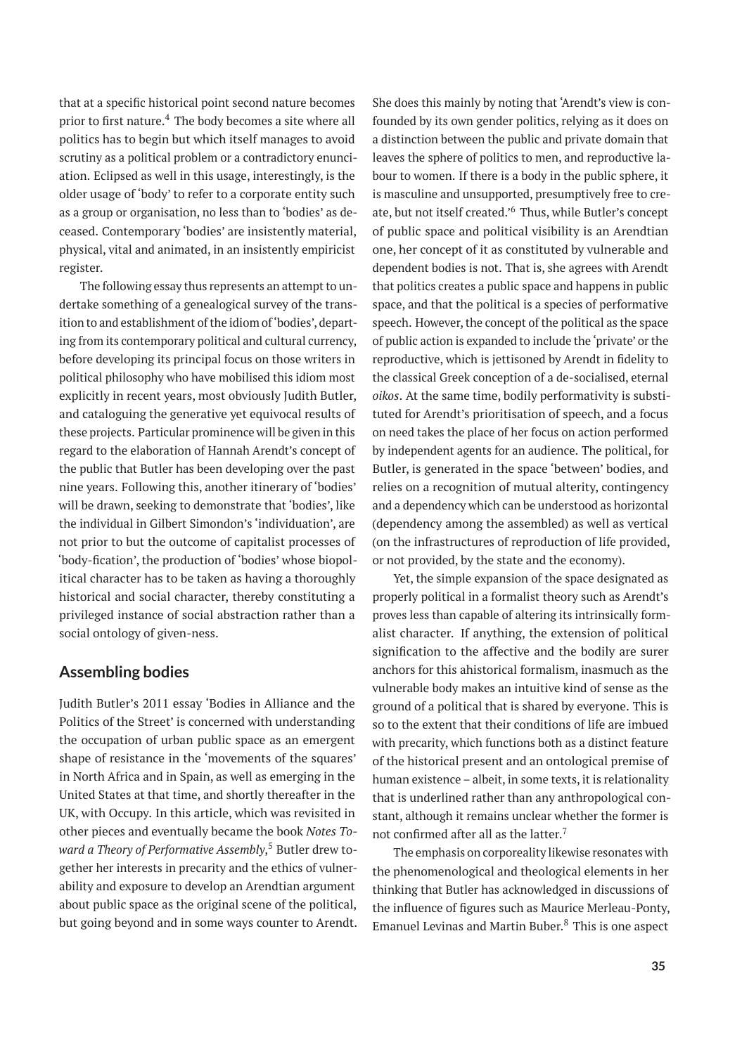that at a specific historical point second nature becomes prior to first nature.<sup>4</sup> The body becomes a site where all politics has to begin but which itself manages to avoid scrutiny as a political problem or a contradictory enunciation. Eclipsed as well in this usage, interestingly, is the older usage of 'body' to refer to a corporate entity such as a group or organisation, no less than to 'bodies' as deceased. Contemporary 'bodies' are insistently material, physical, vital and animated, in an insistently empiricist register.

The following essay thus represents an attempt to undertake something of a genealogical survey of the transition to and establishment of the idiom of'bodies', departing from its contemporary political and cultural currency, before developing its principal focus on those writers in political philosophy who have mobilised this idiom most explicitly in recent years, most obviously Judith Butler, and cataloguing the generative yet equivocal results of these projects. Particular prominence will be given in this regard to the elaboration of Hannah Arendt's concept of the public that Butler has been developing over the past nine years. Following this, another itinerary of 'bodies' will be drawn, seeking to demonstrate that 'bodies', like the individual in Gilbert Simondon's 'individuation', are not prior to but the outcome of capitalist processes of 'body-fication', the production of 'bodies' whose biopolitical character has to be taken as having a thoroughly historical and social character, thereby constituting a privileged instance of social abstraction rather than a social ontology of given-ness.

#### **Assembling bodies**

Judith Butler's 2011 essay 'Bodies in Alliance and the Politics of the Street' is concerned with understanding the occupation of urban public space as an emergent shape of resistance in the 'movements of the squares' in North Africa and in Spain, as well as emerging in the United States at that time, and shortly thereafter in the UK, with Occupy. In this article, which was revisited in other pieces and eventually became the book *Notes Toward a Theory of Performative Assembly*, <sup>5</sup> Butler drew together her interests in precarity and the ethics of vulnerability and exposure to develop an Arendtian argument about public space as the original scene of the political, but going beyond and in some ways counter to Arendt. She does this mainly by noting that 'Arendt's view is confounded by its own gender politics, relying as it does on a distinction between the public and private domain that leaves the sphere of politics to men, and reproductive labour to women. If there is a body in the public sphere, it is masculine and unsupported, presumptively free to create, but not itself created.<sup>'6</sup> Thus, while Butler's concept of public space and political visibility is an Arendtian one, her concept of it as constituted by vulnerable and dependent bodies is not. That is, she agrees with Arendt that politics creates a public space and happens in public space, and that the political is a species of performative speech. However, the concept of the political as the space of public action is expanded to include the 'private' or the reproductive, which is jettisoned by Arendt in fidelity to the classical Greek conception of a de-socialised, eternal *oikos*. At the same time, bodily performativity is substituted for Arendt's prioritisation of speech, and a focus on need takes the place of her focus on action performed by independent agents for an audience. The political, for Butler, is generated in the space 'between' bodies, and relies on a recognition of mutual alterity, contingency and a dependency which can be understood as horizontal (dependency among the assembled) as well as vertical (on the infrastructures of reproduction of life provided, or not provided, by the state and the economy).

Yet, the simple expansion of the space designated as properly political in a formalist theory such as Arendt's proves less than capable of altering its intrinsically formalist character. If anything, the extension of political signification to the affective and the bodily are surer anchors for this ahistorical formalism, inasmuch as the vulnerable body makes an intuitive kind of sense as the ground of a political that is shared by everyone. This is so to the extent that their conditions of life are imbued with precarity, which functions both as a distinct feature of the historical present and an ontological premise of human existence – albeit, in some texts, it is relationality that is underlined rather than any anthropological constant, although it remains unclear whether the former is not confirmed after all as the latter.<sup>7</sup>

The emphasis on corporeality likewise resonates with the phenomenological and theological elements in her thinking that Butler has acknowledged in discussions of the influence of figures such as Maurice Merleau-Ponty, Emanuel Levinas and Martin Buber.<sup>8</sup> This is one aspect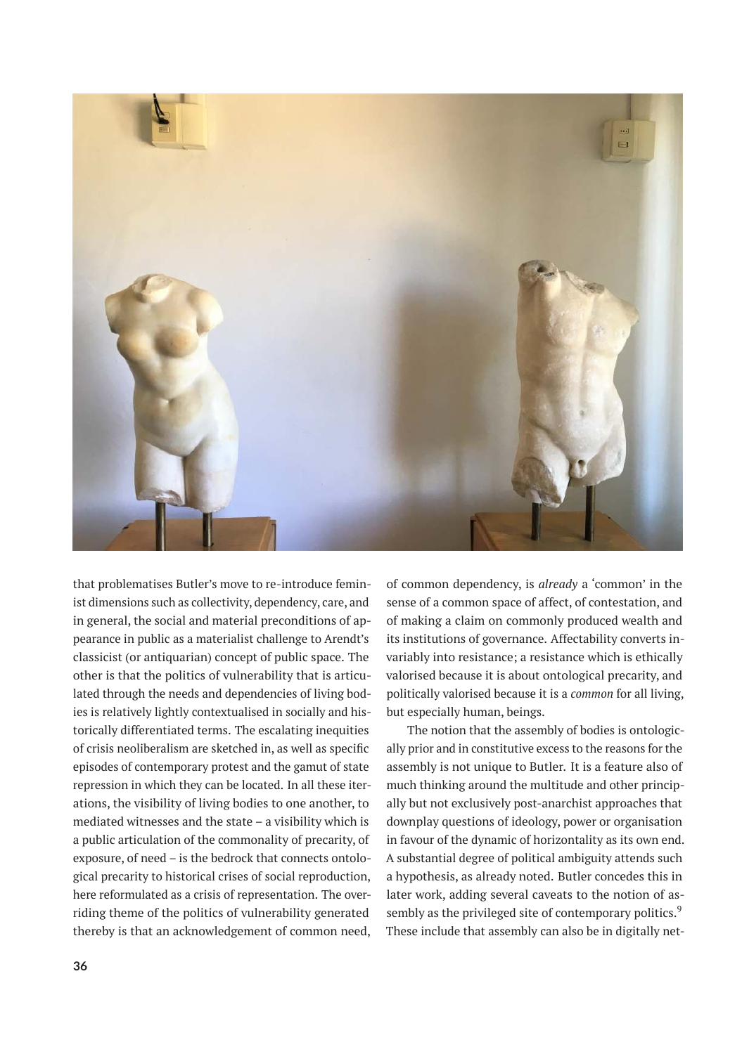

that problematises Butler's move to re-introduce feminist dimensions such as collectivity, dependency, care, and in general, the social and material preconditions of appearance in public as a materialist challenge to Arendt's classicist (or antiquarian) concept of public space. The other is that the politics of vulnerability that is articulated through the needs and dependencies of living bodies is relatively lightly contextualised in socially and historically differentiated terms. The escalating inequities of crisis neoliberalism are sketched in, as well as specific episodes of contemporary protest and the gamut of state repression in which they can be located. In all these iterations, the visibility of living bodies to one another, to mediated witnesses and the state – a visibility which is a public articulation of the commonality of precarity, of exposure, of need – is the bedrock that connects ontological precarity to historical crises of social reproduction, here reformulated as a crisis of representation. The overriding theme of the politics of vulnerability generated thereby is that an acknowledgement of common need, of common dependency, is *already* a 'common' in the sense of a common space of affect, of contestation, and of making a claim on commonly produced wealth and its institutions of governance. Affectability converts invariably into resistance; a resistance which is ethically valorised because it is about ontological precarity, and politically valorised because it is a *common* for all living, but especially human, beings.

The notion that the assembly of bodies is ontologically prior and in constitutive excess to the reasons for the assembly is not unique to Butler. It is a feature also of much thinking around the multitude and other principally but not exclusively post-anarchist approaches that downplay questions of ideology, power or organisation in favour of the dynamic of horizontality as its own end. A substantial degree of political ambiguity attends such a hypothesis, as already noted. Butler concedes this in later work, adding several caveats to the notion of assembly as the privileged site of contemporary politics.<sup>9</sup> These include that assembly can also be in digitally net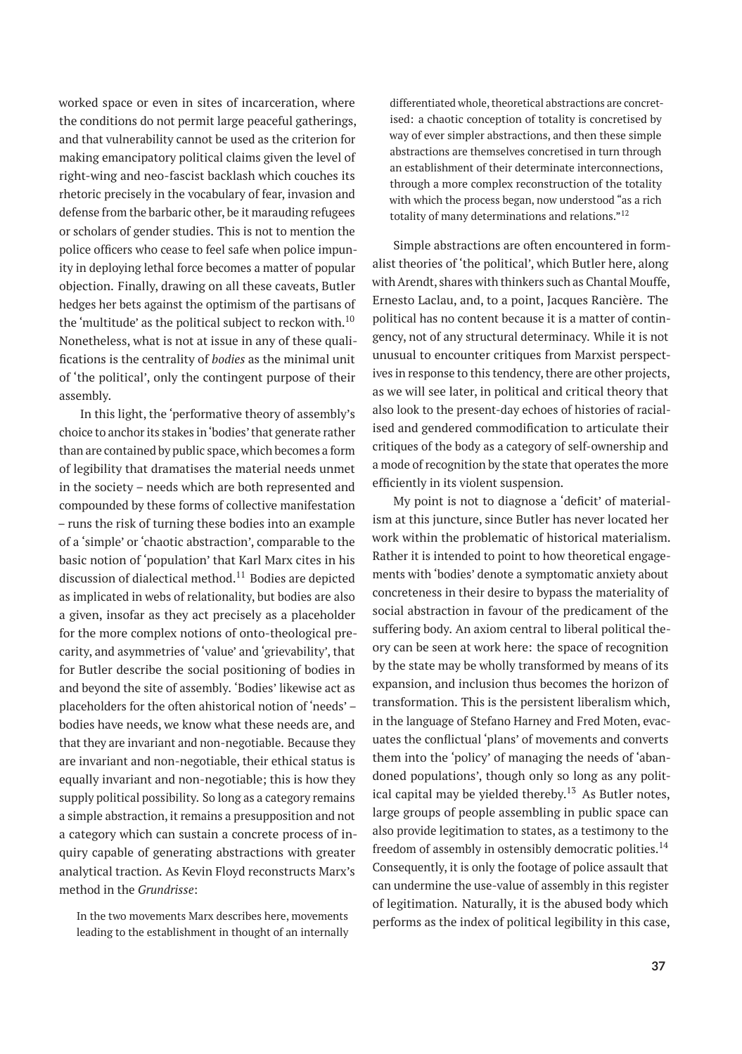worked space or even in sites of incarceration, where the conditions do not permit large peaceful gatherings, and that vulnerability cannot be used as the criterion for making emancipatory political claims given the level of right-wing and neo-fascist backlash which couches its rhetoric precisely in the vocabulary of fear, invasion and defense from the barbaric other, be it marauding refugees or scholars of gender studies. This is not to mention the police officers who cease to feel safe when police impunity in deploying lethal force becomes a matter of popular objection. Finally, drawing on all these caveats, Butler hedges her bets against the optimism of the partisans of the 'multitude' as the political subject to reckon with.<sup>10</sup> Nonetheless, what is not at issue in any of these qualifications is the centrality of *bodies* as the minimal unit of 'the political', only the contingent purpose of their assembly.

In this light, the 'performative theory of assembly's choice to anchor its stakes in'bodies' that generate rather than are contained by public space, which becomes a form of legibility that dramatises the material needs unmet in the society – needs which are both represented and compounded by these forms of collective manifestation – runs the risk of turning these bodies into an example of a 'simple' or 'chaotic abstraction', comparable to the basic notion of 'population' that Karl Marx cites in his discussion of dialectical method.<sup>11</sup> Bodies are depicted as implicated in webs of relationality, but bodies are also a given, insofar as they act precisely as a placeholder for the more complex notions of onto-theological precarity, and asymmetries of 'value' and 'grievability', that for Butler describe the social positioning of bodies in and beyond the site of assembly. 'Bodies' likewise act as placeholders for the often ahistorical notion of 'needs' – bodies have needs, we know what these needs are, and that they are invariant and non-negotiable. Because they are invariant and non-negotiable, their ethical status is equally invariant and non-negotiable; this is how they supply political possibility. So long as a category remains a simple abstraction, it remains a presupposition and not a category which can sustain a concrete process of inquiry capable of generating abstractions with greater analytical traction. As Kevin Floyd reconstructs Marx's method in the *Grundrisse*:

In the two movements Marx describes here, movements leading to the establishment in thought of an internally

differentiated whole, theoretical abstractions are concretised: a chaotic conception of totality is concretised by way of ever simpler abstractions, and then these simple abstractions are themselves concretised in turn through an establishment of their determinate interconnections, through a more complex reconstruction of the totality with which the process began, now understood "as a rich totality of many determinations and relations."<sup>12</sup>

Simple abstractions are often encountered in formalist theories of 'the political', which Butler here, along with Arendt, shares with thinkers such as Chantal Mouffe, Ernesto Laclau, and, to a point, Jacques Rancière. The political has no content because it is a matter of contingency, not of any structural determinacy. While it is not unusual to encounter critiques from Marxist perspectives in response to this tendency, there are other projects, as we will see later, in political and critical theory that also look to the present-day echoes of histories of racialised and gendered commodification to articulate their critiques of the body as a category of self-ownership and a mode of recognition by the state that operates the more efficiently in its violent suspension.

My point is not to diagnose a 'deficit' of materialism at this juncture, since Butler has never located her work within the problematic of historical materialism. Rather it is intended to point to how theoretical engagements with 'bodies' denote a symptomatic anxiety about concreteness in their desire to bypass the materiality of social abstraction in favour of the predicament of the suffering body. An axiom central to liberal political theory can be seen at work here: the space of recognition by the state may be wholly transformed by means of its expansion, and inclusion thus becomes the horizon of transformation. This is the persistent liberalism which, in the language of Stefano Harney and Fred Moten, evacuates the conflictual 'plans' of movements and converts them into the 'policy' of managing the needs of 'abandoned populations', though only so long as any political capital may be yielded thereby.<sup>13</sup> As Butler notes, large groups of people assembling in public space can also provide legitimation to states, as a testimony to the freedom of assembly in ostensibly democratic polities. $^{14}$ Consequently, it is only the footage of police assault that can undermine the use-value of assembly in this register of legitimation. Naturally, it is the abused body which performs as the index of political legibility in this case,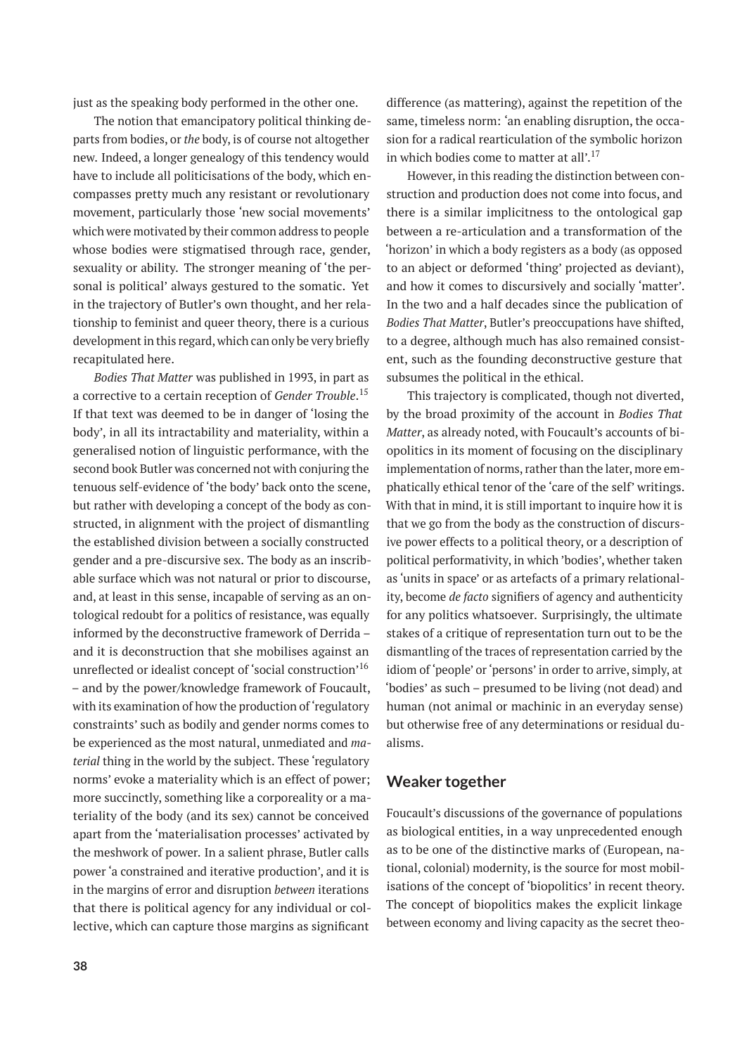just as the speaking body performed in the other one.

The notion that emancipatory political thinking departs from bodies, or *the* body, is of course not altogether new. Indeed, a longer genealogy of this tendency would have to include all politicisations of the body, which encompasses pretty much any resistant or revolutionary movement, particularly those 'new social movements' which were motivated by their common address to people whose bodies were stigmatised through race, gender, sexuality or ability. The stronger meaning of 'the personal is political' always gestured to the somatic. Yet in the trajectory of Butler's own thought, and her relationship to feminist and queer theory, there is a curious development in this regard, which can only be very briefly recapitulated here.

*Bodies That Matter* was published in 1993, in part as a corrective to a certain reception of *Gender Trouble*. 15 If that text was deemed to be in danger of 'losing the body', in all its intractability and materiality, within a generalised notion of linguistic performance, with the second book Butler was concerned not with conjuring the tenuous self-evidence of 'the body' back onto the scene, but rather with developing a concept of the body as constructed, in alignment with the project of dismantling the established division between a socially constructed gender and a pre-discursive sex. The body as an inscribable surface which was not natural or prior to discourse, and, at least in this sense, incapable of serving as an ontological redoubt for a politics of resistance, was equally informed by the deconstructive framework of Derrida – and it is deconstruction that she mobilises against an unreflected or idealist concept of 'social construction'<sup>16</sup> – and by the power/knowledge framework of Foucault, with its examination of how the production of 'regulatory constraints' such as bodily and gender norms comes to be experienced as the most natural, unmediated and *material* thing in the world by the subject. These 'regulatory norms' evoke a materiality which is an effect of power; more succinctly, something like a corporeality or a materiality of the body (and its sex) cannot be conceived apart from the 'materialisation processes' activated by the meshwork of power. In a salient phrase, Butler calls power 'a constrained and iterative production', and it is in the margins of error and disruption *between* iterations that there is political agency for any individual or collective, which can capture those margins as significant

difference (as mattering), against the repetition of the same, timeless norm: 'an enabling disruption, the occasion for a radical rearticulation of the symbolic horizon in which bodies come to matter at all'.<sup>17</sup>

However, in this reading the distinction between construction and production does not come into focus, and there is a similar implicitness to the ontological gap between a re-articulation and a transformation of the 'horizon' in which a body registers as a body (as opposed to an abject or deformed 'thing' projected as deviant), and how it comes to discursively and socially 'matter'. In the two and a half decades since the publication of *Bodies That Matter*, Butler's preoccupations have shifted, to a degree, although much has also remained consistent, such as the founding deconstructive gesture that subsumes the political in the ethical.

This trajectory is complicated, though not diverted, by the broad proximity of the account in *Bodies That Matter*, as already noted, with Foucault's accounts of biopolitics in its moment of focusing on the disciplinary implementation of norms, rather than the later, more emphatically ethical tenor of the 'care of the self' writings. With that in mind, it is still important to inquire how it is that we go from the body as the construction of discursive power effects to a political theory, or a description of political performativity, in which 'bodies', whether taken as 'units in space' or as artefacts of a primary relationality, become *de facto* signifiers of agency and authenticity for any politics whatsoever. Surprisingly, the ultimate stakes of a critique of representation turn out to be the dismantling of the traces of representation carried by the idiom of 'people' or 'persons' in order to arrive, simply, at 'bodies' as such – presumed to be living (not dead) and human (not animal or machinic in an everyday sense) but otherwise free of any determinations or residual dualisms.

#### **Weaker together**

Foucault's discussions of the governance of populations as biological entities, in a way unprecedented enough as to be one of the distinctive marks of (European, national, colonial) modernity, is the source for most mobilisations of the concept of 'biopolitics' in recent theory. The concept of biopolitics makes the explicit linkage between economy and living capacity as the secret theo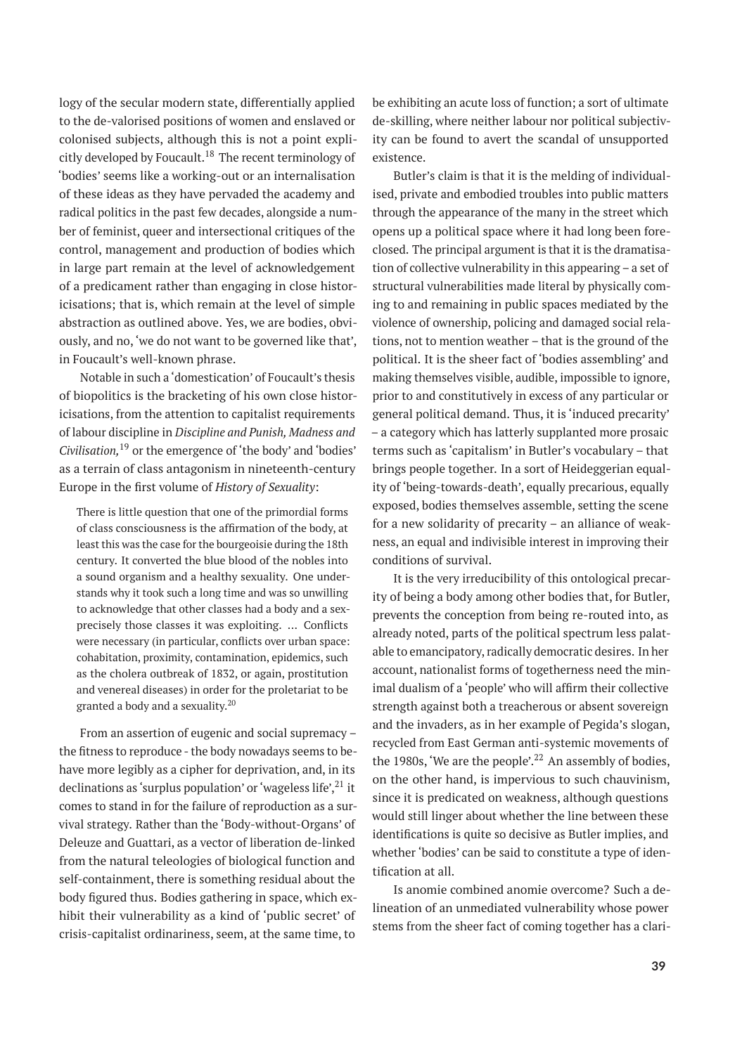logy of the secular modern state, differentially applied to the de-valorised positions of women and enslaved or colonised subjects, although this is not a point explicitly developed by Foucault.<sup>18</sup> The recent terminology of 'bodies' seems like a working-out or an internalisation of these ideas as they have pervaded the academy and radical politics in the past few decades, alongside a number of feminist, queer and intersectional critiques of the control, management and production of bodies which in large part remain at the level of acknowledgement of a predicament rather than engaging in close historicisations; that is, which remain at the level of simple abstraction as outlined above. Yes, we are bodies, obviously, and no, 'we do not want to be governed like that', in Foucault's well-known phrase.

Notable in such a 'domestication' of Foucault's thesis of biopolitics is the bracketing of his own close historicisations, from the attention to capitalist requirements of labour discipline in *Discipline and Punish, Madness and Civilisation,*<sup>19</sup> or the emergence of 'the body' and 'bodies' as a terrain of class antagonism in nineteenth-century Europe in the first volume of *History of Sexuality*:

There is little question that one of the primordial forms of class consciousness is the affirmation of the body, at least this was the case for the bourgeoisie during the 18th century. It converted the blue blood of the nobles into a sound organism and a healthy sexuality. One understands why it took such a long time and was so unwilling to acknowledge that other classes had a body and a sexprecisely those classes it was exploiting. ... Conflicts were necessary (in particular, conflicts over urban space: cohabitation, proximity, contamination, epidemics, such as the cholera outbreak of 1832, or again, prostitution and venereal diseases) in order for the proletariat to be granted a body and a sexuality.<sup>20</sup>

From an assertion of eugenic and social supremacy – the fitness to reproduce - the body nowadays seems to behave more legibly as a cipher for deprivation, and, in its declinations as 'surplus population' or 'wageless life', $^{21}$  it comes to stand in for the failure of reproduction as a survival strategy. Rather than the 'Body-without-Organs' of Deleuze and Guattari, as a vector of liberation de-linked from the natural teleologies of biological function and self-containment, there is something residual about the body figured thus. Bodies gathering in space, which exhibit their vulnerability as a kind of 'public secret' of crisis-capitalist ordinariness, seem, at the same time, to

be exhibiting an acute loss of function; a sort of ultimate de-skilling, where neither labour nor political subjectivity can be found to avert the scandal of unsupported existence.

Butler's claim is that it is the melding of individualised, private and embodied troubles into public matters through the appearance of the many in the street which opens up a political space where it had long been foreclosed. The principal argument is that it is the dramatisation of collective vulnerability in this appearing – a set of structural vulnerabilities made literal by physically coming to and remaining in public spaces mediated by the violence of ownership, policing and damaged social relations, not to mention weather – that is the ground of the political. It is the sheer fact of 'bodies assembling' and making themselves visible, audible, impossible to ignore, prior to and constitutively in excess of any particular or general political demand. Thus, it is 'induced precarity' – a category which has latterly supplanted more prosaic terms such as 'capitalism' in Butler's vocabulary – that brings people together. In a sort of Heideggerian equality of 'being-towards-death', equally precarious, equally exposed, bodies themselves assemble, setting the scene for a new solidarity of precarity – an alliance of weakness, an equal and indivisible interest in improving their conditions of survival.

It is the very irreducibility of this ontological precarity of being a body among other bodies that, for Butler, prevents the conception from being re-routed into, as already noted, parts of the political spectrum less palatable to emancipatory, radically democratic desires. In her account, nationalist forms of togetherness need the minimal dualism of a 'people' who will affirm their collective strength against both a treacherous or absent sovereign and the invaders, as in her example of Pegida's slogan, recycled from East German anti-systemic movements of the 1980s, 'We are the people'.<sup>22</sup> An assembly of bodies, on the other hand, is impervious to such chauvinism, since it is predicated on weakness, although questions would still linger about whether the line between these identifications is quite so decisive as Butler implies, and whether 'bodies' can be said to constitute a type of identification at all.

Is anomie combined anomie overcome? Such a delineation of an unmediated vulnerability whose power stems from the sheer fact of coming together has a clari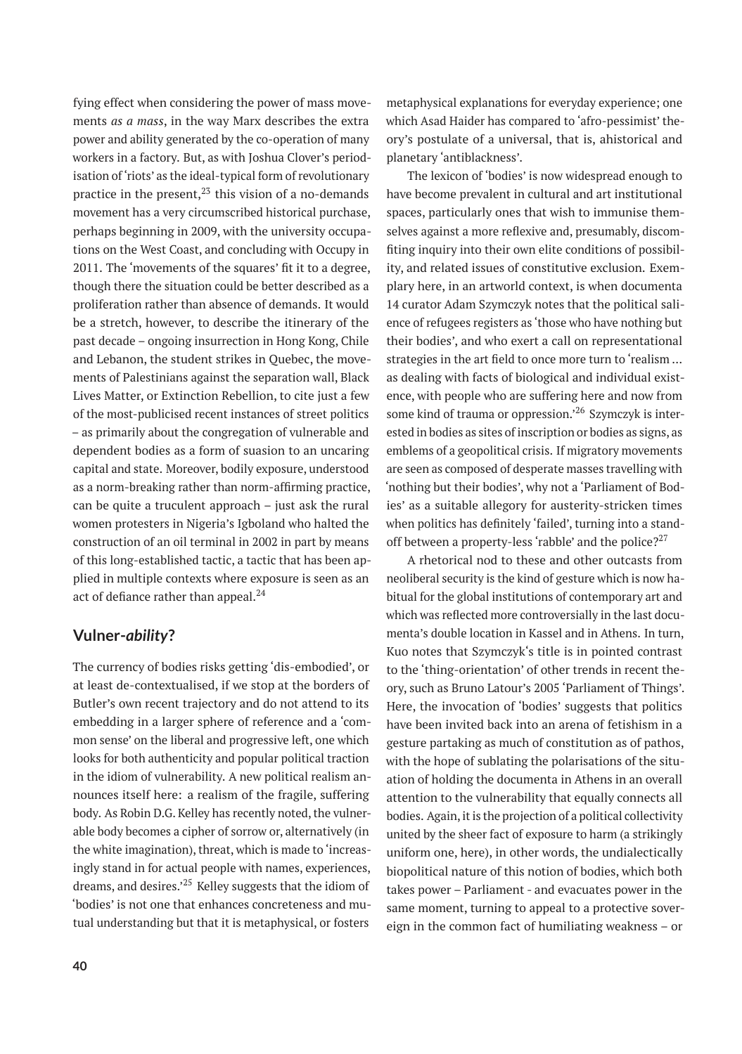fying effect when considering the power of mass movements *as a mass*, in the way Marx describes the extra power and ability generated by the co-operation of many workers in a factory. But, as with Joshua Clover's periodisation of 'riots' as the ideal-typical form of revolutionary practice in the present,  $2<sup>3</sup>$  this vision of a no-demands movement has a very circumscribed historical purchase, perhaps beginning in 2009, with the university occupations on the West Coast, and concluding with Occupy in 2011. The 'movements of the squares' fit it to a degree, though there the situation could be better described as a proliferation rather than absence of demands. It would be a stretch, however, to describe the itinerary of the past decade – ongoing insurrection in Hong Kong, Chile and Lebanon, the student strikes in Quebec, the movements of Palestinians against the separation wall, Black Lives Matter, or Extinction Rebellion, to cite just a few of the most-publicised recent instances of street politics – as primarily about the congregation of vulnerable and dependent bodies as a form of suasion to an uncaring capital and state. Moreover, bodily exposure, understood as a norm-breaking rather than norm-affirming practice, can be quite a truculent approach – just ask the rural women protesters in Nigeria's Igboland who halted the construction of an oil terminal in 2002 in part by means of this long-established tactic, a tactic that has been applied in multiple contexts where exposure is seen as an act of defiance rather than appeal.<sup>24</sup>

### **Vulner-***ability***?**

The currency of bodies risks getting 'dis-embodied', or at least de-contextualised, if we stop at the borders of Butler's own recent trajectory and do not attend to its embedding in a larger sphere of reference and a 'common sense' on the liberal and progressive left, one which looks for both authenticity and popular political traction in the idiom of vulnerability. A new political realism announces itself here: a realism of the fragile, suffering body. As Robin D.G. Kelley has recently noted, the vulnerable body becomes a cipher of sorrow or, alternatively (in the white imagination), threat, which is made to 'increasingly stand in for actual people with names, experiences, dreams, and desires.'<sup>25</sup> Kelley suggests that the idiom of 'bodies' is not one that enhances concreteness and mutual understanding but that it is metaphysical, or fosters

metaphysical explanations for everyday experience; one which Asad Haider has compared to 'afro-pessimist' theory's postulate of a universal, that is, ahistorical and planetary 'antiblackness'.

The lexicon of 'bodies' is now widespread enough to have become prevalent in cultural and art institutional spaces, particularly ones that wish to immunise themselves against a more reflexive and, presumably, discomfiting inquiry into their own elite conditions of possibility, and related issues of constitutive exclusion. Exemplary here, in an artworld context, is when documenta 14 curator Adam Szymczyk notes that the political salience of refugees registers as 'those who have nothing but their bodies', and who exert a call on representational strategies in the art field to once more turn to 'realism … as dealing with facts of biological and individual existence, with people who are suffering here and now from some kind of trauma or oppression.<sup>26</sup> Szymczyk is interested in bodies as sites of inscription or bodies as signs, as emblems of a geopolitical crisis. If migratory movements are seen as composed of desperate masses travelling with 'nothing but their bodies', why not a 'Parliament of Bodies' as a suitable allegory for austerity-stricken times when politics has definitely 'failed', turning into a standoff between a property-less 'rabble' and the police? $2^{27}$ 

A rhetorical nod to these and other outcasts from neoliberal security is the kind of gesture which is now habitual for the global institutions of contemporary art and which was reflected more controversially in the last documenta's double location in Kassel and in Athens. In turn, Kuo notes that Szymczyk's title is in pointed contrast to the 'thing-orientation' of other trends in recent theory, such as Bruno Latour's 2005 'Parliament of Things'. Here, the invocation of 'bodies' suggests that politics have been invited back into an arena of fetishism in a gesture partaking as much of constitution as of pathos, with the hope of sublating the polarisations of the situation of holding the documenta in Athens in an overall attention to the vulnerability that equally connects all bodies. Again, it is the projection of a political collectivity united by the sheer fact of exposure to harm (a strikingly uniform one, here), in other words, the undialectically biopolitical nature of this notion of bodies, which both takes power – Parliament - and evacuates power in the same moment, turning to appeal to a protective sovereign in the common fact of humiliating weakness – or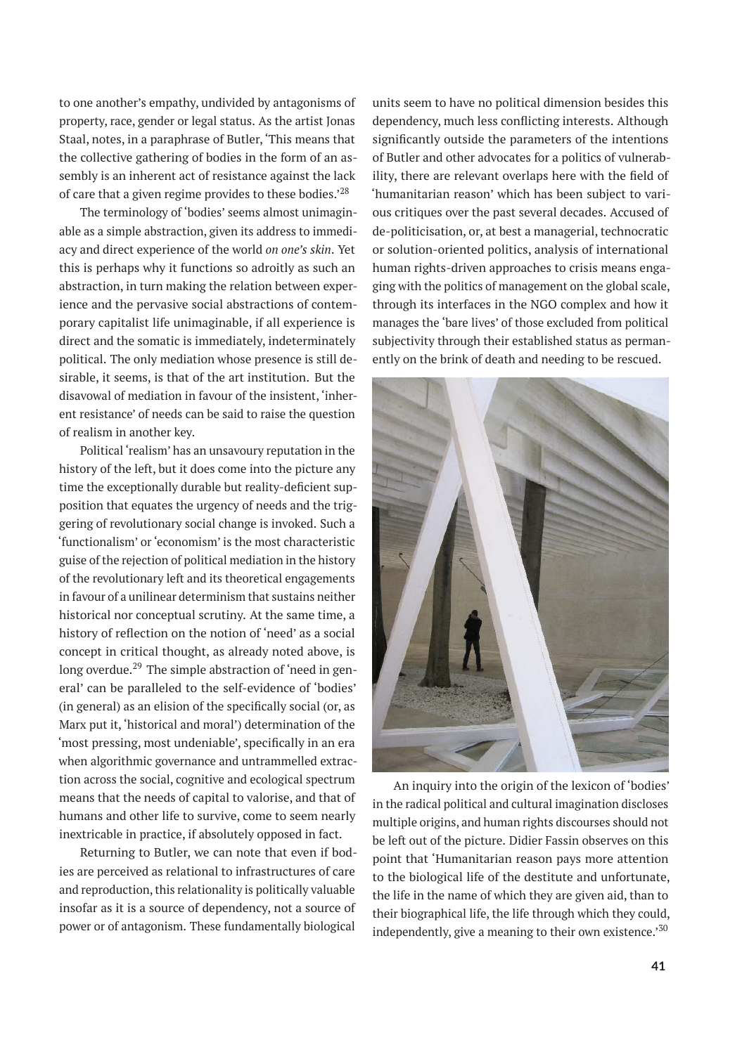to one another's empathy, undivided by antagonisms of property, race, gender or legal status. As the artist Jonas Staal, notes, in a paraphrase of Butler, 'This means that the collective gathering of bodies in the form of an assembly is an inherent act of resistance against the lack of care that a given regime provides to these bodies.'<sup>28</sup>

The terminology of 'bodies' seems almost unimaginable as a simple abstraction, given its address to immediacy and direct experience of the world *on one's skin*. Yet this is perhaps why it functions so adroitly as such an abstraction, in turn making the relation between experience and the pervasive social abstractions of contemporary capitalist life unimaginable, if all experience is direct and the somatic is immediately, indeterminately political. The only mediation whose presence is still desirable, it seems, is that of the art institution. But the disavowal of mediation in favour of the insistent, 'inherent resistance' of needs can be said to raise the question of realism in another key.

Political 'realism' has an unsavoury reputation in the history of the left, but it does come into the picture any time the exceptionally durable but reality-deficient supposition that equates the urgency of needs and the triggering of revolutionary social change is invoked. Such a 'functionalism' or 'economism' is the most characteristic guise of the rejection of political mediation in the history of the revolutionary left and its theoretical engagements in favour of a unilinear determinism that sustains neither historical nor conceptual scrutiny. At the same time, a history of reflection on the notion of 'need' as a social concept in critical thought, as already noted above, is long overdue. $^{29}$  The simple abstraction of 'need in general' can be paralleled to the self-evidence of 'bodies' (in general) as an elision of the specifically social (or, as Marx put it, 'historical and moral') determination of the 'most pressing, most undeniable', specifically in an era when algorithmic governance and untrammelled extraction across the social, cognitive and ecological spectrum means that the needs of capital to valorise, and that of humans and other life to survive, come to seem nearly inextricable in practice, if absolutely opposed in fact.

Returning to Butler, we can note that even if bodies are perceived as relational to infrastructures of care and reproduction, this relationality is politically valuable insofar as it is a source of dependency, not a source of power or of antagonism. These fundamentally biological

units seem to have no political dimension besides this dependency, much less conflicting interests. Although significantly outside the parameters of the intentions of Butler and other advocates for a politics of vulnerability, there are relevant overlaps here with the field of 'humanitarian reason' which has been subject to various critiques over the past several decades. Accused of de-politicisation, or, at best a managerial, technocratic or solution-oriented politics, analysis of international human rights-driven approaches to crisis means engaging with the politics of management on the global scale, through its interfaces in the NGO complex and how it manages the 'bare lives' of those excluded from political subjectivity through their established status as permanently on the brink of death and needing to be rescued.



An inquiry into the origin of the lexicon of 'bodies' in the radical political and cultural imagination discloses multiple origins, and human rights discourses should not be left out of the picture. Didier Fassin observes on this point that 'Humanitarian reason pays more attention to the biological life of the destitute and unfortunate, the life in the name of which they are given aid, than to their biographical life, the life through which they could, independently, give a meaning to their own existence.<sup>'30</sup>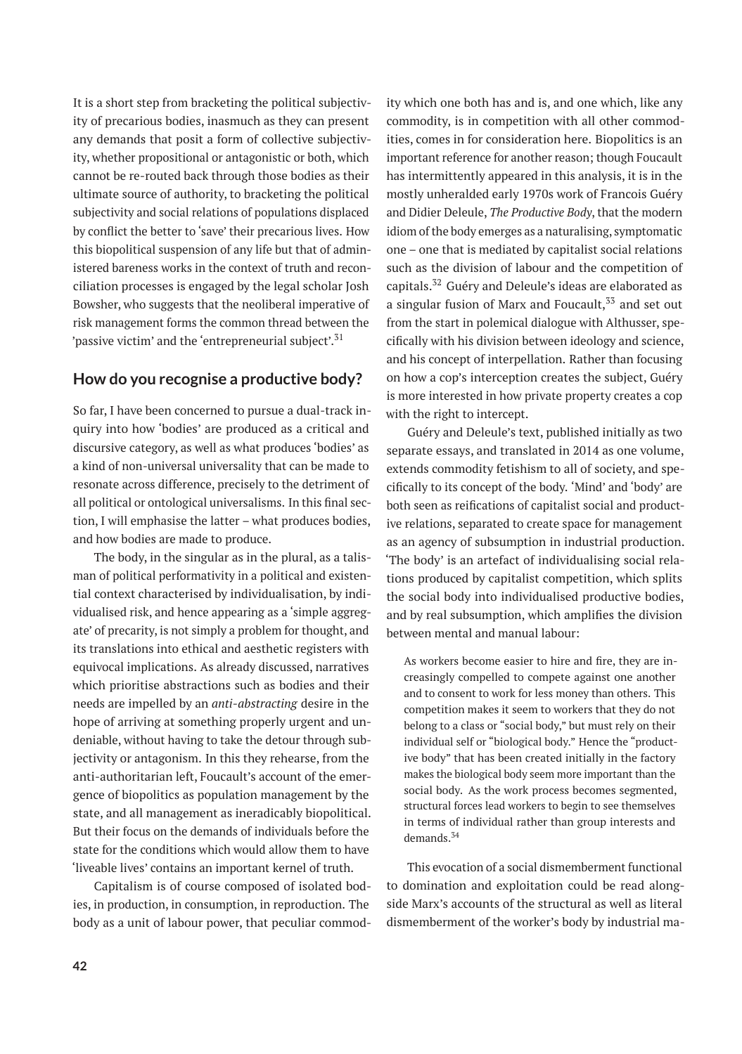It is a short step from bracketing the political subjectivity of precarious bodies, inasmuch as they can present any demands that posit a form of collective subjectivity, whether propositional or antagonistic or both, which cannot be re-routed back through those bodies as their ultimate source of authority, to bracketing the political subjectivity and social relations of populations displaced by conflict the better to 'save' their precarious lives. How this biopolitical suspension of any life but that of administered bareness works in the context of truth and reconciliation processes is engaged by the legal scholar Josh Bowsher, who suggests that the neoliberal imperative of risk management forms the common thread between the 'passive victim' and the 'entrepreneurial subject'.<sup>31</sup>

# **How do you recognise a productive body?**

So far, I have been concerned to pursue a dual-track inquiry into how 'bodies' are produced as a critical and discursive category, as well as what produces 'bodies' as a kind of non-universal universality that can be made to resonate across difference, precisely to the detriment of all political or ontological universalisms. In this final section, I will emphasise the latter – what produces bodies, and how bodies are made to produce.

The body, in the singular as in the plural, as a talisman of political performativity in a political and existential context characterised by individualisation, by individualised risk, and hence appearing as a 'simple aggregate' of precarity, is not simply a problem for thought, and its translations into ethical and aesthetic registers with equivocal implications. As already discussed, narratives which prioritise abstractions such as bodies and their needs are impelled by an *anti-abstracting* desire in the hope of arriving at something properly urgent and undeniable, without having to take the detour through subjectivity or antagonism. In this they rehearse, from the anti-authoritarian left, Foucault's account of the emergence of biopolitics as population management by the state, and all management as ineradicably biopolitical. But their focus on the demands of individuals before the state for the conditions which would allow them to have 'liveable lives' contains an important kernel of truth.

Capitalism is of course composed of isolated bodies, in production, in consumption, in reproduction. The body as a unit of labour power, that peculiar commodity which one both has and is, and one which, like any commodity, is in competition with all other commodities, comes in for consideration here. Biopolitics is an important reference for another reason; though Foucault has intermittently appeared in this analysis, it is in the mostly unheralded early 1970s work of Francois Guéry and Didier Deleule, *The Productive Body*, that the modern idiom of the body emerges as a naturalising, symptomatic one – one that is mediated by capitalist social relations such as the division of labour and the competition of capitals.<sup>32</sup> Guéry and Deleule's ideas are elaborated as a singular fusion of Marx and Foucault, $33$  and set out from the start in polemical dialogue with Althusser, specifically with his division between ideology and science, and his concept of interpellation. Rather than focusing on how a cop's interception creates the subject, Guéry is more interested in how private property creates a cop with the right to intercept.

Guéry and Deleule's text, published initially as two separate essays, and translated in 2014 as one volume, extends commodity fetishism to all of society, and specifically to its concept of the body. 'Mind' and 'body' are both seen as reifications of capitalist social and productive relations, separated to create space for management as an agency of subsumption in industrial production. 'The body' is an artefact of individualising social relations produced by capitalist competition, which splits the social body into individualised productive bodies, and by real subsumption, which amplifies the division between mental and manual labour:

As workers become easier to hire and fire, they are increasingly compelled to compete against one another and to consent to work for less money than others. This competition makes it seem to workers that they do not belong to a class or "social body," but must rely on their individual self or "biological body." Hence the "productive body" that has been created initially in the factory makes the biological body seem more important than the social body. As the work process becomes segmented, structural forces lead workers to begin to see themselves in terms of individual rather than group interests and demands.<sup>34</sup>

This evocation of a social dismemberment functional to domination and exploitation could be read alongside Marx's accounts of the structural as well as literal dismemberment of the worker's body by industrial ma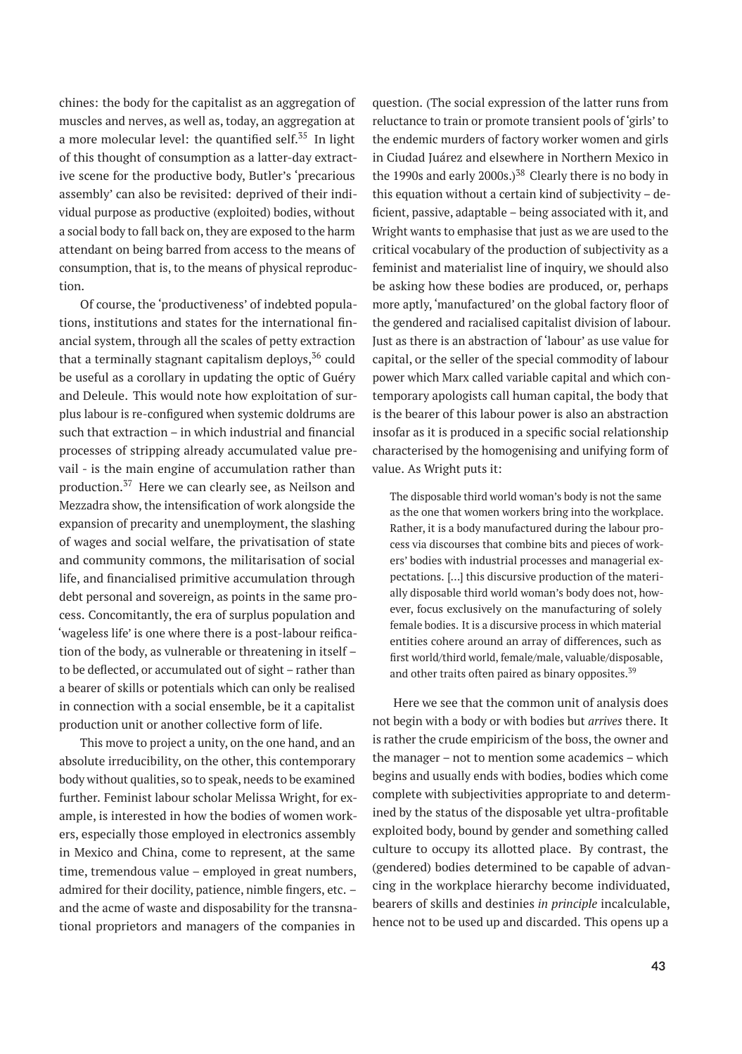chines: the body for the capitalist as an aggregation of muscles and nerves, as well as, today, an aggregation at a more molecular level: the quantified self.<sup>35</sup> In light of this thought of consumption as a latter-day extractive scene for the productive body, Butler's 'precarious assembly' can also be revisited: deprived of their individual purpose as productive (exploited) bodies, without a social body to fall back on, they are exposed to the harm attendant on being barred from access to the means of consumption, that is, to the means of physical reproduction.

Of course, the 'productiveness' of indebted populations, institutions and states for the international financial system, through all the scales of petty extraction that a terminally stagnant capitalism deploys,  $36$  could be useful as a corollary in updating the optic of Guéry and Deleule. This would note how exploitation of surplus labour is re-configured when systemic doldrums are such that extraction – in which industrial and financial processes of stripping already accumulated value prevail - is the main engine of accumulation rather than production.<sup>37</sup> Here we can clearly see, as Neilson and Mezzadra show, the intensification of work alongside the expansion of precarity and unemployment, the slashing of wages and social welfare, the privatisation of state and community commons, the militarisation of social life, and financialised primitive accumulation through debt personal and sovereign, as points in the same process. Concomitantly, the era of surplus population and 'wageless life' is one where there is a post-labour reification of the body, as vulnerable or threatening in itself – to be deflected, or accumulated out of sight – rather than a bearer of skills or potentials which can only be realised in connection with a social ensemble, be it a capitalist production unit or another collective form of life.

This move to project a unity, on the one hand, and an absolute irreducibility, on the other, this contemporary body without qualities, so to speak, needs to be examined further. Feminist labour scholar Melissa Wright, for example, is interested in how the bodies of women workers, especially those employed in electronics assembly in Mexico and China, come to represent, at the same time, tremendous value – employed in great numbers, admired for their docility, patience, nimble fingers, etc. – and the acme of waste and disposability for the transnational proprietors and managers of the companies in

question. (The social expression of the latter runs from reluctance to train or promote transient pools of 'girls' to the endemic murders of factory worker women and girls in Ciudad Juárez and elsewhere in Northern Mexico in the 1990s and early 2000s.)<sup>38</sup> Clearly there is no body in this equation without a certain kind of subjectivity – deficient, passive, adaptable – being associated with it, and Wright wants to emphasise that just as we are used to the critical vocabulary of the production of subjectivity as a feminist and materialist line of inquiry, we should also be asking how these bodies are produced, or, perhaps more aptly, 'manufactured' on the global factory floor of the gendered and racialised capitalist division of labour. Just as there is an abstraction of 'labour' as use value for capital, or the seller of the special commodity of labour power which Marx called variable capital and which contemporary apologists call human capital, the body that is the bearer of this labour power is also an abstraction insofar as it is produced in a specific social relationship characterised by the homogenising and unifying form of value. As Wright puts it:

The disposable third world woman's body is not the same as the one that women workers bring into the workplace. Rather, it is a body manufactured during the labour process via discourses that combine bits and pieces of workers' bodies with industrial processes and managerial expectations. […] this discursive production of the materially disposable third world woman's body does not, however, focus exclusively on the manufacturing of solely female bodies. It is a discursive process in which material entities cohere around an array of differences, such as first world/third world, female/male, valuable/disposable, and other traits often paired as binary opposites.<sup>39</sup>

Here we see that the common unit of analysis does not begin with a body or with bodies but *arrives* there. It is rather the crude empiricism of the boss, the owner and the manager – not to mention some academics – which begins and usually ends with bodies, bodies which come complete with subjectivities appropriate to and determined by the status of the disposable yet ultra-profitable exploited body, bound by gender and something called culture to occupy its allotted place. By contrast, the (gendered) bodies determined to be capable of advancing in the workplace hierarchy become individuated, bearers of skills and destinies *in principle* incalculable, hence not to be used up and discarded. This opens up a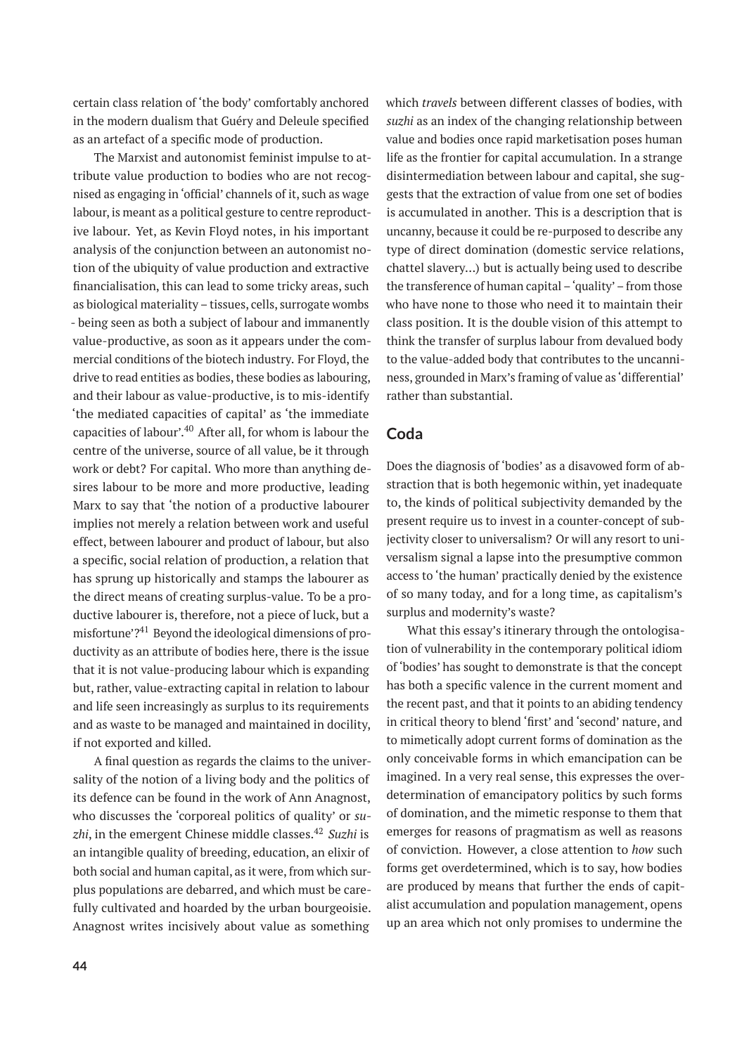certain class relation of 'the body' comfortably anchored in the modern dualism that Guéry and Deleule specified as an artefact of a specific mode of production.

The Marxist and autonomist feminist impulse to attribute value production to bodies who are not recognised as engaging in 'official' channels of it, such as wage labour, is meant as a political gesture to centre reproductive labour. Yet, as Kevin Floyd notes, in his important analysis of the conjunction between an autonomist notion of the ubiquity of value production and extractive financialisation, this can lead to some tricky areas, such as biological materiality – tissues, cells, surrogate wombs - being seen as both a subject of labour and immanently value-productive, as soon as it appears under the commercial conditions of the biotech industry. For Floyd, the drive to read entities as bodies, these bodies as labouring, and their labour as value-productive, is to mis-identify 'the mediated capacities of capital' as 'the immediate capacities of labour'.<sup>40</sup> After all, for whom is labour the centre of the universe, source of all value, be it through work or debt? For capital. Who more than anything desires labour to be more and more productive, leading Marx to say that 'the notion of a productive labourer implies not merely a relation between work and useful effect, between labourer and product of labour, but also a specific, social relation of production, a relation that has sprung up historically and stamps the labourer as the direct means of creating surplus-value. To be a productive labourer is, therefore, not a piece of luck, but a misfortune'?<sup>41</sup> Beyond the ideological dimensions of productivity as an attribute of bodies here, there is the issue that it is not value-producing labour which is expanding but, rather, value-extracting capital in relation to labour and life seen increasingly as surplus to its requirements and as waste to be managed and maintained in docility, if not exported and killed.

A final question as regards the claims to the universality of the notion of a living body and the politics of its defence can be found in the work of Ann Anagnost, who discusses the 'corporeal politics of quality' or *suzhi*, in the emergent Chinese middle classes.<sup>42</sup> *Suzhi* is an intangible quality of breeding, education, an elixir of both social and human capital, as it were, from which surplus populations are debarred, and which must be carefully cultivated and hoarded by the urban bourgeoisie. Anagnost writes incisively about value as something

which *travels* between different classes of bodies, with *suzhi* as an index of the changing relationship between value and bodies once rapid marketisation poses human life as the frontier for capital accumulation. In a strange disintermediation between labour and capital, she suggests that the extraction of value from one set of bodies is accumulated in another. This is a description that is uncanny, because it could be re-purposed to describe any type of direct domination (domestic service relations, chattel slavery...) but is actually being used to describe the transference of human capital –'quality'– from those who have none to those who need it to maintain their class position. It is the double vision of this attempt to think the transfer of surplus labour from devalued body to the value-added body that contributes to the uncanniness, grounded in Marx's framing of value as 'differential' rather than substantial.

# **Coda**

Does the diagnosis of 'bodies' as a disavowed form of abstraction that is both hegemonic within, yet inadequate to, the kinds of political subjectivity demanded by the present require us to invest in a counter-concept of subjectivity closer to universalism? Or will any resort to universalism signal a lapse into the presumptive common access to 'the human' practically denied by the existence of so many today, and for a long time, as capitalism's surplus and modernity's waste?

What this essay's itinerary through the ontologisation of vulnerability in the contemporary political idiom of 'bodies' has sought to demonstrate is that the concept has both a specific valence in the current moment and the recent past, and that it points to an abiding tendency in critical theory to blend 'first' and 'second' nature, and to mimetically adopt current forms of domination as the only conceivable forms in which emancipation can be imagined. In a very real sense, this expresses the overdetermination of emancipatory politics by such forms of domination, and the mimetic response to them that emerges for reasons of pragmatism as well as reasons of conviction. However, a close attention to *how* such forms get overdetermined, which is to say, how bodies are produced by means that further the ends of capitalist accumulation and population management, opens up an area which not only promises to undermine the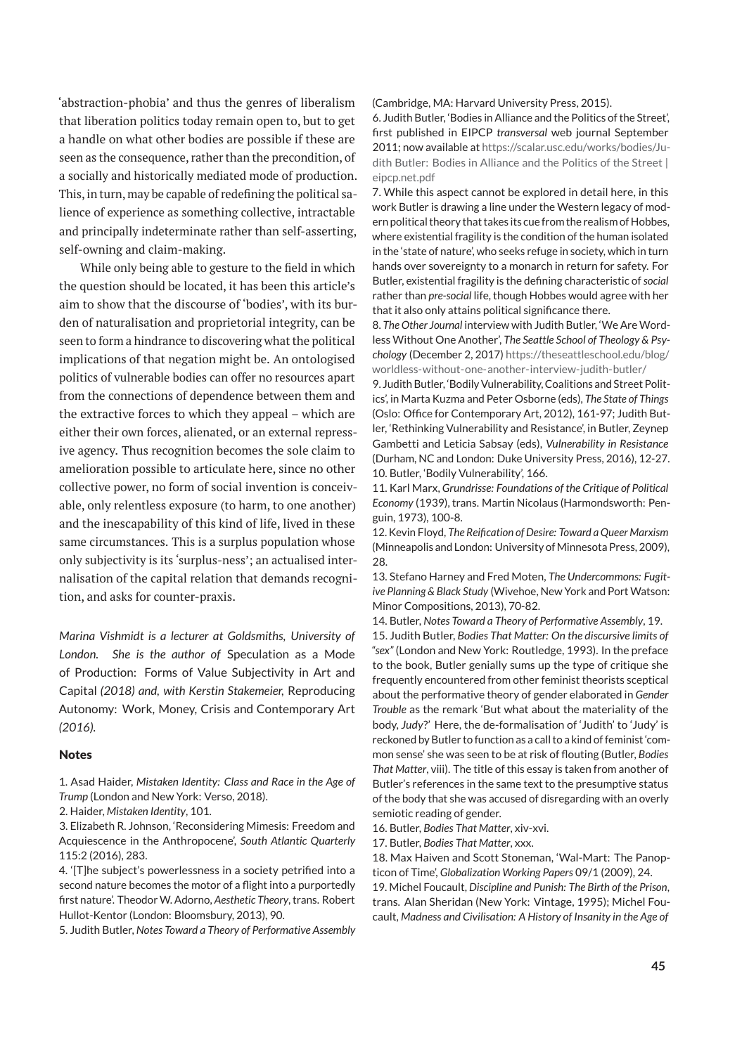'abstraction-phobia' and thus the genres of liberalism that liberation politics today remain open to, but to get a handle on what other bodies are possible if these are seen as the consequence, rather than the precondition, of a socially and historically mediated mode of production. This, in turn, may be capable of redefining the political salience of experience as something collective, intractable and principally indeterminate rather than self-asserting, self-owning and claim-making.

While only being able to gesture to the field in which the question should be located, it has been this article's aim to show that the discourse of 'bodies', with its burden of naturalisation and proprietorial integrity, can be seen to form a hindrance to discovering what the political implications of that negation might be. An ontologised politics of vulnerable bodies can offer no resources apart from the connections of dependence between them and the extractive forces to which they appeal – which are either their own forces, alienated, or an external repressive agency. Thus recognition becomes the sole claim to amelioration possible to articulate here, since no other collective power, no form of social invention is conceivable, only relentless exposure (to harm, to one another) and the inescapability of this kind of life, lived in these same circumstances. This is a surplus population whose only subjectivity is its 'surplus-ness'; an actualised internalisation of the capital relation that demands recognition, and asks for counter-praxis.

*Marina Vishmidt is a lecturer at Goldsmiths, University of London. She is the author of* Speculation as a Mode of Production: Forms of Value Subjectivity in Art and Capital *(2018) and, with Kerstin Stakemeier,* Reproducing Autonomy: Work, Money, Crisis and Contemporary Art *(2016).*

#### Notes

1. Asad Haider, *Mistaken Identity: Class and Race in the Age of Trump* (London and New York: Verso, 2018).

3. Elizabeth R. Johnson, 'Reconsidering Mimesis: Freedom and Acquiescence in the Anthropocene', *South Atlantic Quarterly* 115:2 (2016), 283.

4. '[T]he subject's powerlessness in a society petrified into a second nature becomes the motor of a flight into a purportedly first nature'. Theodor W. Adorno, *Aesthetic Theory*, trans. Robert Hullot-Kentor (London: Bloomsbury, 2013), 90.

5. Judith Butler, *Notes Toward a Theory of Performative Assembly*

(Cambridge, MA: Harvard University Press, 2015).

6. Judith Butler, 'Bodies in Alliance and the Politics of the Street', first published in EIPCP *transversal* web journal September 2011; now available at [https://scalar.usc.edu/works/bodies/Ju](https://scalar.usc.edu/works/bodies/Judith%20Butler:%20Bodies%20in%20Alliance%20and%20the%20Politics%20of%20the%20Street%20%7c%20eipcp.net.pdf)[dith Butler: Bodies in Alliance and the Politics of the Street |](https://scalar.usc.edu/works/bodies/Judith%20Butler:%20Bodies%20in%20Alliance%20and%20the%20Politics%20of%20the%20Street%20%7c%20eipcp.net.pdf) [eipcp.net.pdf](https://scalar.usc.edu/works/bodies/Judith%20Butler:%20Bodies%20in%20Alliance%20and%20the%20Politics%20of%20the%20Street%20%7c%20eipcp.net.pdf)

7. While this aspect cannot be explored in detail here, in this work Butler is drawing a line under the Western legacy of modern political theory that takes its cue from the realism of Hobbes, where existential fragility is the condition of the human isolated in the 'state of nature', who seeks refuge in society, which in turn hands over sovereignty to a monarch in return for safety. For Butler, existential fragility is the defining characteristic of *social* rather than *pre-social* life, though Hobbes would agree with her that it also only attains political significance there.

8. *The Other Journal* interview with Judith Butler, 'We Are Wordless Without One Another', *The Seattle School of Theology & Psychology* (December 2, 2017) [https://theseattleschool.edu/blog/](https://theseattleschool.edu/blog/worldless-without-one-another-interview-judith-butler/) [worldless-without-one-another-interview-judith-butler/](https://theseattleschool.edu/blog/worldless-without-one-another-interview-judith-butler/)

9. Judith Butler, 'Bodily Vulnerability, Coalitions and Street Politics', in Marta Kuzma and Peter Osborne (eds), *The State of Things* (Oslo: Office for Contemporary Art, 2012), 161-97; Judith Butler, 'Rethinking Vulnerability and Resistance', in Butler, Zeynep Gambetti and Leticia Sabsay (eds), *Vulnerability in Resistance* (Durham, NC and London: Duke University Press, 2016), 12-27. 10. Butler, 'Bodily Vulnerability', 166.

11. Karl Marx, *Grundrisse: Foundations of the Critique of Political Economy* (1939), trans. Martin Nicolaus (Harmondsworth: Penguin, 1973), 100-8.

12. Kevin Floyd, *The Reification of Desire: Toward a Queer Marxism* (Minneapolis and London: University of Minnesota Press, 2009), 28.

13. Stefano Harney and Fred Moten, *The Undercommons: Fugitive Planning & Black Study* (Wivehoe, New York and Port Watson: Minor Compositions, 2013), 70-82.

14. Butler, *Notes Toward a Theory of Performative Assembly*, 19. 15. Judith Butler, *Bodies That Matter: On the discursive limits of "sex"* (London and New York: Routledge, 1993). In the preface to the book, Butler genially sums up the type of critique she frequently encountered from other feminist theorists sceptical about the performative theory of gender elaborated in *Gender Trouble* as the remark 'But what about the materiality of the body, *Judy*?' Here, the de-formalisation of 'Judith' to 'Judy' is reckoned by Butler to function as a call to a kind of feminist 'common sense' she was seen to be at risk of flouting (Butler, *Bodies That Matter*, viii). The title of this essay is taken from another of Butler's references in the same text to the presumptive status of the body that she was accused of disregarding with an overly semiotic reading of gender.

16. Butler, *Bodies That Matter*, xiv-xvi.

17. Butler, *Bodies That Matter*, xxx.

18. Max Haiven and Scott Stoneman, 'Wal-Mart: The Panopticon of Time', *Globalization Working Papers* 09/1 (2009), 24. 19. Michel Foucault, *Discipline and Punish: The Birth of the Prison*, trans. Alan Sheridan (New York: Vintage, 1995); Michel Fou-

cault, *Madness and Civilisation: A History of Insanity in the Age of*

<sup>2.</sup> Haider, *Mistaken Identity*, 101.